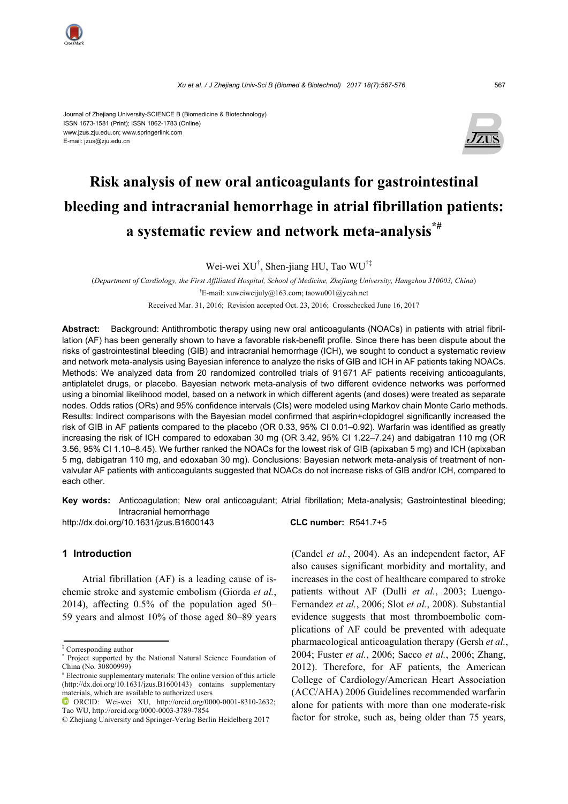

#### Journal of Zhejiang University-SCIENCE B (Biomedicine & Biotechnology) ISSN 1673-1581 (Print); ISSN 1862-1783 (Online) www.jzus.zju.edu.cn; www.springerlink.com E-mail: jzus@zju.edu.cn



# **Risk analysis of new oral anticoagulants for gastrointestinal bleeding and intracranial hemorrhage in atrial fibrillation patients: a systematic review and network meta-analysis\*#**

Wei-wei XU† , Shen-jiang HU, Tao WU†‡

(*Department of Cardiology, the First Affiliated Hospital, School of Medicine, Zhejiang University, Hangzhou 310003, China*) † E-mail: xuweiweijuly@163.com; taowu001@yeah.net

Received Mar. 31, 2016; Revision accepted Oct. 23, 2016; Crosschecked June 16, 2017

**Abstract:** Background: Antithrombotic therapy using new oral anticoagulants (NOACs) in patients with atrial fibrillation (AF) has been generally shown to have a favorable risk-benefit profile. Since there has been dispute about the risks of gastrointestinal bleeding (GIB) and intracranial hemorrhage (ICH), we sought to conduct a systematic review and network meta-analysis using Bayesian inference to analyze the risks of GIB and ICH in AF patients taking NOACs. Methods: We analyzed data from 20 randomized controlled trials of 91671 AF patients receiving anticoagulants, antiplatelet drugs, or placebo. Bayesian network meta-analysis of two different evidence networks was performed using a binomial likelihood model, based on a network in which different agents (and doses) were treated as separate nodes. Odds ratios (ORs) and 95% confidence intervals (CIs) were modeled using Markov chain Monte Carlo methods. Results: Indirect comparisons with the Bayesian model confirmed that aspirin+clopidogrel significantly increased the risk of GIB in AF patients compared to the placebo (OR 0.33, 95% CI 0.01–0.92). Warfarin was identified as greatly increasing the risk of ICH compared to edoxaban 30 mg (OR 3.42, 95% CI 1.22–7.24) and dabigatran 110 mg (OR 3.56, 95% CI 1.10–8.45). We further ranked the NOACs for the lowest risk of GIB (apixaban 5 mg) and ICH (apixaban 5 mg, dabigatran 110 mg, and edoxaban 30 mg). Conclusions: Bayesian network meta-analysis of treatment of nonvalvular AF patients with anticoagulants suggested that NOACs do not increase risks of GIB and/or ICH, compared to each other.

**Key words:** Anticoagulation; New oral anticoagulant; Atrial fibrillation; Meta-analysis; Gastrointestinal bleeding; Intracranial hemorrhage

http://dx.doi.org/10.1631/jzus.B1600143 **CLC number:** R541.7+5

# **1 Introduction**

Atrial fibrillation (AF) is a leading cause of ischemic stroke and systemic embolism (Giorda *et al.*, 2014), affecting 0.5% of the population aged 50– 59 years and almost 10% of those aged 80–89 years

‡ Corresponding author

(Candel *et al.*, 2004). As an independent factor, AF also causes significant morbidity and mortality, and increases in the cost of healthcare compared to stroke patients without AF (Dulli *et al.*, 2003; Luengo-Fernandez *et al.*, 2006; Slot *et al.*, 2008). Substantial evidence suggests that most thromboembolic complications of AF could be prevented with adequate pharmacological anticoagulation therapy (Gersh *et al.*, 2004; Fuster *et al.*, 2006; Sacco *et al.*, 2006; Zhang, 2012). Therefore, for AF patients, the American College of Cardiology/American Heart Association (ACC/AHA) 2006 Guidelines recommended warfarin alone for patients with more than one moderate-risk factor for stroke, such as, being older than 75 years,

<sup>\*</sup> Project supported by the National Natural Science Foundation of China (No. 30800999)

<sup>#</sup> Electronic supplementary materials: The online version of this article (http://dx.doi.org/10.1631/jzus.B1600143) contains supplementary materials, which are available to authorized users

ORCID: Wei-wei XU, http://orcid.org/0000-0001-8310-2632; Tao WU, http://orcid.org/0000-0003-3789-7854

<sup>©</sup> Zhejiang University and Springer-Verlag Berlin Heidelberg 2017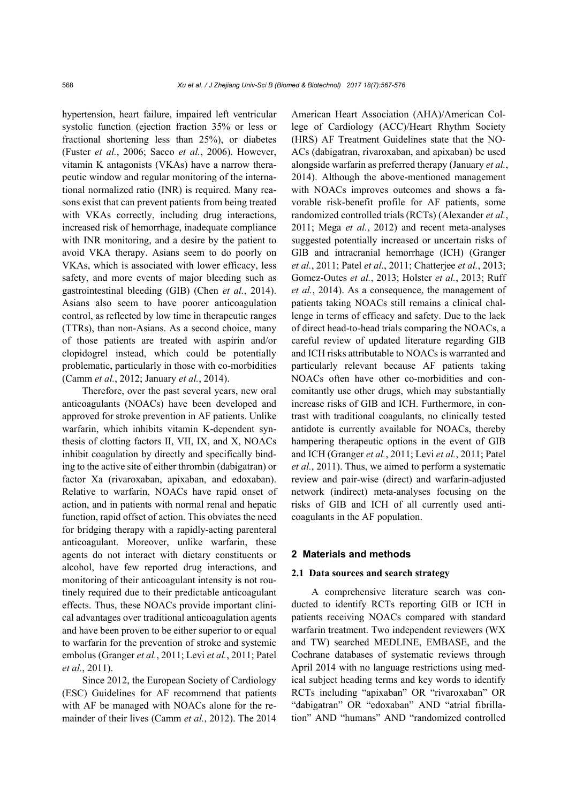hypertension, heart failure, impaired left ventricular systolic function (ejection fraction 35% or less or fractional shortening less than 25%), or diabetes (Fuster *et al.*, 2006; Sacco *et al.*, 2006). However, vitamin K antagonists (VKAs) have a narrow therapeutic window and regular monitoring of the international normalized ratio (INR) is required. Many reasons exist that can prevent patients from being treated with VKAs correctly, including drug interactions, increased risk of hemorrhage, inadequate compliance with INR monitoring, and a desire by the patient to avoid VKA therapy. Asians seem to do poorly on VKAs, which is associated with lower efficacy, less safety, and more events of major bleeding such as gastrointestinal bleeding (GIB) (Chen *et al.*, 2014). Asians also seem to have poorer anticoagulation control, as reflected by low time in therapeutic ranges (TTRs), than non-Asians. As a second choice, many of those patients are treated with aspirin and/or clopidogrel instead, which could be potentially problematic, particularly in those with co-morbidities (Camm *et al.*, 2012; January *et al.*, 2014).

Therefore, over the past several years, new oral anticoagulants (NOACs) have been developed and approved for stroke prevention in AF patients. Unlike warfarin, which inhibits vitamin K-dependent synthesis of clotting factors II, VII, IX, and X, NOACs inhibit coagulation by directly and specifically binding to the active site of either thrombin (dabigatran) or factor Xa (rivaroxaban, apixaban, and edoxaban). Relative to warfarin, NOACs have rapid onset of action, and in patients with normal renal and hepatic function, rapid offset of action. This obviates the need for bridging therapy with a rapidly-acting parenteral anticoagulant. Moreover, unlike warfarin, these agents do not interact with dietary constituents or alcohol, have few reported drug interactions, and monitoring of their anticoagulant intensity is not routinely required due to their predictable anticoagulant effects. Thus, these NOACs provide important clinical advantages over traditional anticoagulation agents and have been proven to be either superior to or equal to warfarin for the prevention of stroke and systemic embolus (Granger *et al.*, 2011; Levi *et al.*, 2011; Patel *et al.*, 2011).

Since 2012, the European Society of Cardiology (ESC) Guidelines for AF recommend that patients with AF be managed with NOACs alone for the remainder of their lives (Camm *et al.*, 2012). The 2014 American Heart Association (AHA)/American College of Cardiology (ACC)/Heart Rhythm Society (HRS) AF Treatment Guidelines state that the NO-ACs (dabigatran, rivaroxaban, and apixaban) be used alongside warfarin as preferred therapy (January *et al.*, 2014). Although the above-mentioned management with NOACs improves outcomes and shows a favorable risk-benefit profile for AF patients, some randomized controlled trials (RCTs) (Alexander *et al.*, 2011; Mega *et al.*, 2012) and recent meta-analyses suggested potentially increased or uncertain risks of GIB and intracranial hemorrhage (ICH) (Granger *et al.*, 2011; Patel *et al.*, 2011; Chatterjee *et al.*, 2013; Gomez-Outes *et al.*, 2013; Holster *et al.*, 2013; Ruff *et al.*, 2014). As a consequence, the management of patients taking NOACs still remains a clinical challenge in terms of efficacy and safety. Due to the lack of direct head-to-head trials comparing the NOACs, a careful review of updated literature regarding GIB and ICH risks attributable to NOACs is warranted and particularly relevant because AF patients taking NOACs often have other co-morbidities and concomitantly use other drugs, which may substantially increase risks of GIB and ICH. Furthermore, in contrast with traditional coagulants, no clinically tested antidote is currently available for NOACs, thereby hampering therapeutic options in the event of GIB and ICH (Granger *et al.*, 2011; Levi *et al.*, 2011; Patel *et al.*, 2011). Thus, we aimed to perform a systematic review and pair-wise (direct) and warfarin-adjusted network (indirect) meta-analyses focusing on the risks of GIB and ICH of all currently used anticoagulants in the AF population.

#### **2 Materials and methods**

#### **2.1 Data sources and search strategy**

A comprehensive literature search was conducted to identify RCTs reporting GIB or ICH in patients receiving NOACs compared with standard warfarin treatment. Two independent reviewers (WX and TW) searched MEDLINE, EMBASE, and the Cochrane databases of systematic reviews through April 2014 with no language restrictions using medical subject heading terms and key words to identify RCTs including "apixaban" OR "rivaroxaban" OR "dabigatran" OR "edoxaban" AND "atrial fibrillation" AND "humans" AND "randomized controlled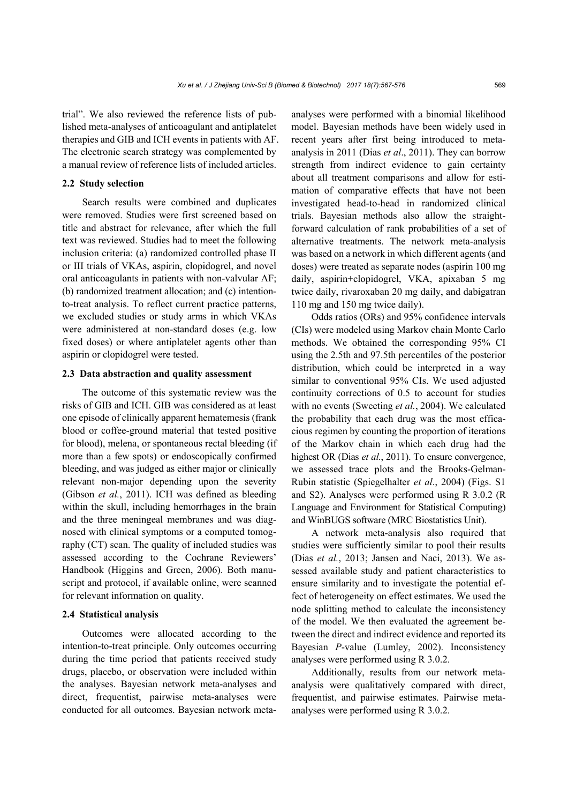trial". We also reviewed the reference lists of published meta-analyses of anticoagulant and antiplatelet therapies and GIB and ICH events in patients with AF. The electronic search strategy was complemented by a manual review of reference lists of included articles.

### **2.2 Study selection**

Search results were combined and duplicates were removed. Studies were first screened based on title and abstract for relevance, after which the full text was reviewed. Studies had to meet the following inclusion criteria: (a) randomized controlled phase II or III trials of VKAs, aspirin, clopidogrel, and novel oral anticoagulants in patients with non-valvular AF; (b) randomized treatment allocation; and (c) intentionto-treat analysis. To reflect current practice patterns, we excluded studies or study arms in which VKAs were administered at non-standard doses (e.g. low fixed doses) or where antiplatelet agents other than aspirin or clopidogrel were tested.

#### **2.3 Data abstraction and quality assessment**

The outcome of this systematic review was the risks of GIB and ICH. GIB was considered as at least one episode of clinically apparent hematemesis (frank blood or coffee-ground material that tested positive for blood), melena, or spontaneous rectal bleeding (if more than a few spots) or endoscopically confirmed bleeding, and was judged as either major or clinically relevant non-major depending upon the severity (Gibson *et al.*, 2011). ICH was defined as bleeding within the skull, including hemorrhages in the brain and the three meningeal membranes and was diagnosed with clinical symptoms or a computed tomography (CT) scan. The quality of included studies was assessed according to the Cochrane Reviewers' Handbook (Higgins and Green, 2006). Both manuscript and protocol, if available online, were scanned for relevant information on quality.

#### **2.4 Statistical analysis**

Outcomes were allocated according to the intention-to-treat principle. Only outcomes occurring during the time period that patients received study drugs, placebo, or observation were included within the analyses. Bayesian network meta-analyses and direct, frequentist, pairwise meta-analyses were conducted for all outcomes. Bayesian network metaanalyses were performed with a binomial likelihood model. Bayesian methods have been widely used in recent years after first being introduced to metaanalysis in 2011 (Dias *et al*., 2011). They can borrow strength from indirect evidence to gain certainty about all treatment comparisons and allow for estimation of comparative effects that have not been investigated head-to-head in randomized clinical trials. Bayesian methods also allow the straightforward calculation of rank probabilities of a set of alternative treatments. The network meta-analysis was based on a network in which different agents (and doses) were treated as separate nodes (aspirin 100 mg daily, aspirin+clopidogrel, VKA, apixaban 5 mg twice daily, rivaroxaban 20 mg daily, and dabigatran 110 mg and 150 mg twice daily).

Odds ratios (ORs) and 95% confidence intervals (CIs) were modeled using Markov chain Monte Carlo methods. We obtained the corresponding 95% CI using the 2.5th and 97.5th percentiles of the posterior distribution, which could be interpreted in a way similar to conventional 95% CIs. We used adjusted continuity corrections of 0.5 to account for studies with no events (Sweeting *et al.*, 2004). We calculated the probability that each drug was the most efficacious regimen by counting the proportion of iterations of the Markov chain in which each drug had the highest OR (Dias *et al.*, 2011). To ensure convergence, we assessed trace plots and the Brooks-Gelman-Rubin statistic (Spiegelhalter *et al*., 2004) (Figs. S1 and S2). Analyses were performed using R 3.0.2 (R Language and Environment for Statistical Computing) and WinBUGS software (MRC Biostatistics Unit).

A network meta-analysis also required that studies were sufficiently similar to pool their results (Dias *et al.*, 2013; Jansen and Naci, 2013). We assessed available study and patient characteristics to ensure similarity and to investigate the potential effect of heterogeneity on effect estimates. We used the node splitting method to calculate the inconsistency of the model. We then evaluated the agreement between the direct and indirect evidence and reported its Bayesian *P*-value (Lumley, 2002). Inconsistency analyses were performed using R 3.0.2.

Additionally, results from our network metaanalysis were qualitatively compared with direct, frequentist, and pairwise estimates. Pairwise metaanalyses were performed using R 3.0.2.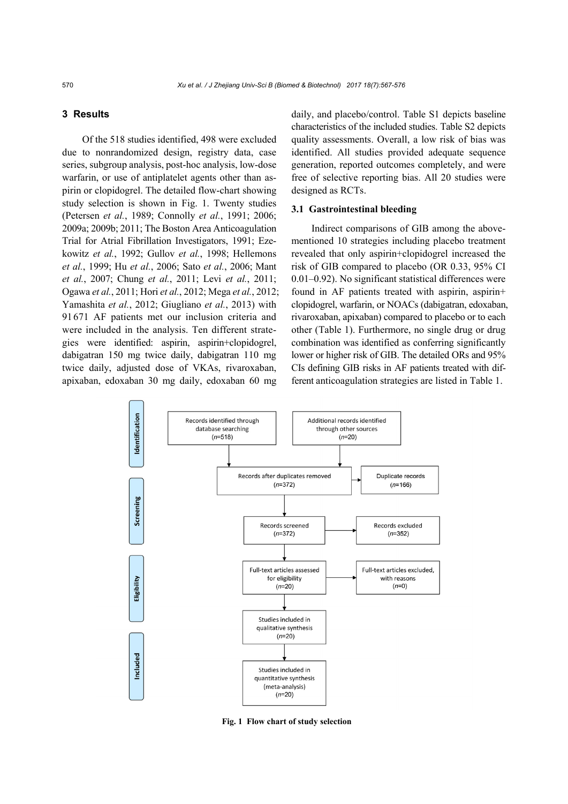# **3 Results**

Of the 518 studies identified, 498 were excluded due to nonrandomized design, registry data, case series, subgroup analysis, post-hoc analysis, low-dose warfarin, or use of antiplatelet agents other than aspirin or clopidogrel. The detailed flow-chart showing study selection is shown in Fig. 1. Twenty studies (Petersen *et al.*, 1989; Connolly *et al.*, 1991; 2006; 2009a; 2009b; 2011; The Boston Area Anticoagulation Trial for Atrial Fibrillation Investigators, 1991; Ezekowitz *et al.*, 1992; Gullov *et al.*, 1998; Hellemons *et al.*, 1999; Hu *et al.*, 2006; Sato *et al.*, 2006; Mant *et al.*, 2007; Chung *et al.*, 2011; Levi *et al.*, 2011; Ogawa *et al.*, 2011; Hori *et al.*, 2012; Mega *et al.*, 2012; Yamashita *et al.*, 2012; Giugliano *et al.*, 2013) with 91671 AF patients met our inclusion criteria and were included in the analysis. Ten different strategies were identified: aspirin, aspirin+clopidogrel, dabigatran 150 mg twice daily, dabigatran 110 mg twice daily, adjusted dose of VKAs, rivaroxaban, apixaban, edoxaban 30 mg daily, edoxaban 60 mg

daily, and placebo/control. Table S1 depicts baseline characteristics of the included studies. Table S2 depicts quality assessments. Overall, a low risk of bias was identified. All studies provided adequate sequence generation, reported outcomes completely, and were free of selective reporting bias. All 20 studies were designed as RCTs.

# **3.1 Gastrointestinal bleeding**

Indirect comparisons of GIB among the abovementioned 10 strategies including placebo treatment revealed that only aspirin+clopidogrel increased the risk of GIB compared to placebo (OR 0.33, 95% CI 0.01–0.92). No significant statistical differences were found in AF patients treated with aspirin, aspirin+ clopidogrel, warfarin, or NOACs (dabigatran, edoxaban, rivaroxaban, apixaban) compared to placebo or to each other (Table 1). Furthermore, no single drug or drug combination was identified as conferring significantly lower or higher risk of GIB. The detailed ORs and 95% CIs defining GIB risks in AF patients treated with different anticoagulation strategies are listed in Table 1.



**Fig. 1 Flow chart of study selection**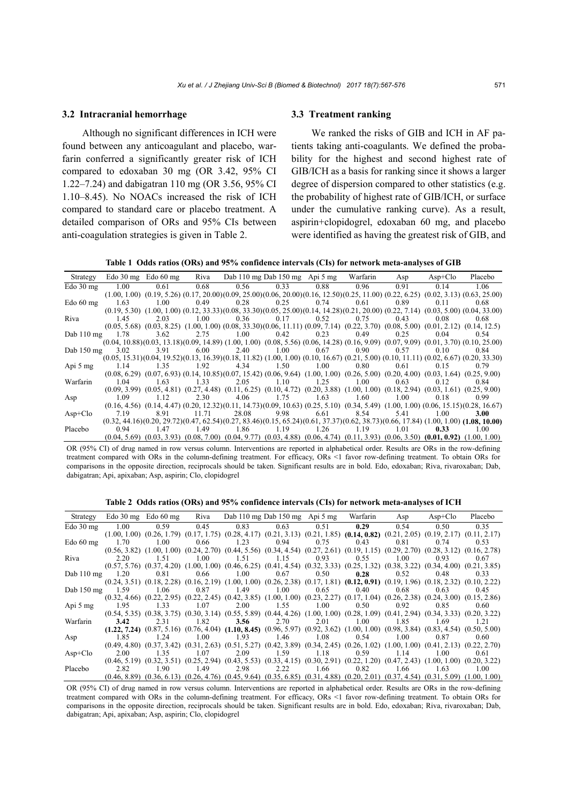#### **3.2 Intracranial hemorrhage**

Although no significant differences in ICH were found between any anticoagulant and placebo, warfarin conferred a significantly greater risk of ICH compared to edoxaban 30 mg (OR 3.42, 95% CI 1.22–7.24) and dabigatran 110 mg (OR 3.56, 95% CI 1.10–8.45). No NOACs increased the risk of ICH compared to standard care or placebo treatment. A detailed comparison of ORs and 95% CIs between anti-coagulation strategies is given in Table 2.

# **3.3 Treatment ranking**

We ranked the risks of GIB and ICH in AF patients taking anti-coagulants. We defined the probability for the highest and second highest rate of GIB/ICH as a basis for ranking since it shows a larger degree of dispersion compared to other statistics (e.g. the probability of highest rate of GIB/ICH, or surface under the cumulative ranking curve). As a result, aspirin+clopidogrel, edoxaban 60 mg, and placebo were identified as having the greatest risk of GIB, and

**Table 1 Odds ratios (ORs) and 95% confidence intervals (CIs) for network meta-analyses of GIB** 

| Strategy                  |      | Edo $30 \text{ mg}$ Edo $60 \text{ mg}$ |       |       | Riva Dab 110 mg Dab 150 mg Api 5 mg                                                                                                                         |             | Warfarin | Asp  | $Asp+Clo$ | Placebo     |
|---------------------------|------|-----------------------------------------|-------|-------|-------------------------------------------------------------------------------------------------------------------------------------------------------------|-------------|----------|------|-----------|-------------|
| Edo $30 \text{ mg}$       | 1.00 | 0.61                                    | 0.68  | 0.56  | 0.33                                                                                                                                                        | 0.88        | 0.96     | 0.91 | 0.14      | 1.06        |
|                           |      |                                         |       |       | $(1.00, 1.00)$ $(0.19, 5.26)$ $(0.17, 20.00)$ $(0.09, 25.00)$ $(0.06, 20.00)$ $(0.16, 12.50)$ $(0.25, 11.00)$ $(0.22, 6.25)$ $(0.02, 3.13)$ $(0.63, 25.00)$ |             |          |      |           |             |
| $Edo 60$ mg               | 1.63 | 1.00                                    | 0.49  | 0.28  |                                                                                                                                                             | $0.25$ 0.74 | 0.61     | 0.89 | 0.11      | 0.68        |
|                           |      |                                         |       |       | $(0.19, 5.30)$ $(1.00, 1.00)$ $(0.12, 33.33)(0.08, 33.30)(0.05, 25.00)(0.14, 14.28)(0.21, 20.00)$ $(0.22, 7.14)$ $(0.03, 5.00)$ $(0.04, 33.00)$             |             |          |      |           |             |
| Riva                      | 1.45 | 2.03                                    | 1.00  | 0.36  | 0.17                                                                                                                                                        | 0.52        | 0.75     | 0.43 | 0.08      | 0.68        |
|                           |      |                                         |       |       | $(0.05, 5.68)$ $(0.03, 8.25)$ $(1.00, 1.00)$ $(0.08, 33.30)$ $(0.06, 11.11)$ $(0.09, 7.14)$ $(0.22, 3.70)$ $(0.08, 5.00)$ $(0.01, 2.12)$ $(0.14, 12.5)$     |             |          |      |           |             |
| Dab $110 \text{ mg}$ 1.78 |      | 3.62                                    | 2.75  |       | $1.00 \t 0.42 \t 0.23 \t 0.49$                                                                                                                              |             |          | 0.25 | 0.04      | 0.54        |
|                           |      |                                         |       |       | $(0.04, 10.88)(0.03, 13.18)(0.09, 14.89)$ $(1.00, 1.00)$ $(0.08, 5.56)$ $(0.06, 14.28)$ $(0.16, 9.09)$ $(0.07, 9.09)$ $(0.01, 3.70)$ $(0.10, 25.00)$        |             |          |      |           |             |
| Dab 150 mg                | 3.02 | 3.91                                    |       |       | 6.00 2.40 1.00 0.67 0.90                                                                                                                                    |             |          | 0.57 | 0.10      | 0.84        |
|                           |      |                                         |       |       | $(0.05, 15.31)(0.04, 19.52)(0.13, 16.39)(0.18, 11.82)(1.00, 1.00)(0.10, 16.67)(0.21, 5.00)(0.10, 11.11)(0.02, 6.67)(0.20, 33.30)$                           |             |          |      |           |             |
| Api 5 mg                  | 1.14 | 1.35                                    | 1.92  | 4.34  |                                                                                                                                                             | 1.50 1.00   | 0.80     | 0.61 | 0.15      | 0.79        |
|                           |      |                                         |       |       | $(0.08, 6.29)$ $(0.07, 6.93)$ $(0.14, 10.85)$ $(0.07, 15.42)$ $(0.06, 9.64)$ $(1.00, 1.00)$ $(0.26, 5.00)$ $(0.20, 4.00)$ $(0.03, 1.64)$ $(0.25, 9.00)$     |             |          |      |           |             |
| Warfarin                  | 1.04 | 1.63                                    | 1.33  |       | 2.05 1.10 1.25 1.00                                                                                                                                         |             |          | 0.63 | 0.12      | 0.84        |
|                           |      |                                         |       |       | $(0.09, 3.99)$ $(0.05, 4.81)$ $(0.27, 4.48)$ $(0.11, 6.25)$ $(0.10, 4.72)$ $(0.20, 3.88)$ $(1.00, 1.00)$ $(0.18, 2.94)$ $(0.03, 1.61)$ $(0.25, 9.00)$       |             |          |      |           |             |
| Asp                       | 1.09 | 1.12                                    | 2.30  | 4.06  | 1.75                                                                                                                                                        | 1.63        | 1.60     | 1.00 | 0.18      | 0.99        |
|                           |      |                                         |       |       | $(0.16, 4.56)$ $(0.14, 4.47)$ $(0.20, 12.32)$ $(0.11, 14.73)$ $(0.09, 10.63)$ $(0.25, 5.10)$ $(0.34, 5.49)$ $(1.00, 1.00)$ $(0.06, 15.15)$ $(0.28, 16.67)$  |             |          |      |           |             |
| $Asp+Clo$                 | 7.19 | 8.91                                    | 11.71 | 28.08 |                                                                                                                                                             | 9.98 6.61   | 8.54     | 5.41 | 1.00      | <b>3.00</b> |
|                           |      |                                         |       |       | $(0.32, 44.16)(0.20, 29.72)(0.47, 62.54)(0.27, 83.46)(0.15, 65.24)(0.61, 37.37)(0.62, 38.73)(0.66, 17.84)(1.00, 1.00)$ (1.08, 10.00)                        |             |          |      |           |             |
| Placebo                   | 0.94 | 1.47                                    | 1.49  |       | 1.86 1.19 1.26 1.19                                                                                                                                         |             |          | 1.01 | 0.33      | 1.00        |
|                           |      |                                         |       |       | $(0.04, 5.69)$ $(0.03, 3.93)$ $(0.08, 7.00)$ $(0.04, 9.77)$ $(0.03, 4.88)$ $(0.06, 4.74)$ $(0.11, 3.93)$ $(0.06, 3.50)$ $(0.01, 0.92)$ $(1.00, 1.00)$       |             |          |      |           |             |

OR (95% CI) of drug named in row versus column. Interventions are reported in alphabetical order. Results are ORs in the row-defining treatment compared with ORs in the column-defining treatment. For efficacy, ORs <1 favor row-defining treatment. To obtain ORs for comparisons in the opposite direction, reciprocals should be taken. Significant results are in bold. Edo, edoxaban; Riva, rivaroxaban; Dab, dabigatran; Api, apixaban; Asp, aspirin; Clo, clopidogrel

**Table 2 Odds ratios (ORs) and 95% confidence intervals (CIs) for network meta-analyses of ICH**

| Strategy                  |                 | Edo 30 mg Edo 60 mg |      | Riva Dab 110 mg Dab 150 mg Api 5 mg Warfarin |      |      | Asp  | Asp+Clo                                                                                                                                               | Placebo |
|---------------------------|-----------------|---------------------|------|----------------------------------------------|------|------|------|-------------------------------------------------------------------------------------------------------------------------------------------------------|---------|
| Edo $30 \text{ mg}$ 1.00  |                 | 0.59                |      | $0.45$ $0.83$ $0.63$                         | 0.51 | 0.29 | 0.54 | 0.50                                                                                                                                                  | 0.35    |
|                           |                 |                     |      |                                              |      |      |      | $(1.00, 1.00)$ $(0.26, 1.79)$ $(0.17, 1.75)$ $(0.28, 4.17)$ $(0.21, 3.13)$ $(0.21, 1.85)$ $(0.14, 0.82)$ $(0.21, 2.05)$ $(0.19, 2.17)$ $(0.11, 2.17)$ |         |
| Edo $60$ mg               | 1.70            | 1.00                |      | $0.66$ 1.23 $0.94$ 0.75 0.43                 |      |      | 0.81 | 0.74                                                                                                                                                  | 0.53    |
|                           |                 |                     |      |                                              |      |      |      | $(0.56, 3.82)$ $(1.00, 1.00)$ $(0.24, 2.70)$ $(0.44, 5.56)$ $(0.34, 4.54)$ $(0.27, 2.61)$ $(0.19, 1.15)$ $(0.29, 2.70)$ $(0.28, 3.12)$ $(0.16, 2.78)$ |         |
| Riva                      | 2.20            | 1.51                | 1.00 | 1.51 1.15 0.93                               |      | 0.55 | 1.00 | 0.93                                                                                                                                                  | 0.67    |
|                           |                 |                     |      |                                              |      |      |      | $(0.57, 5.76)$ $(0.37, 4.20)$ $(1.00, 1.00)$ $(0.46, 6.25)$ $(0.41, 4.54)$ $(0.32, 3.33)$ $(0.25, 1.32)$ $(0.38, 3.22)$ $(0.34, 4.00)$ $(0.21, 3.85)$ |         |
|                           | Dab 110 mg 1.20 | 0.81                |      | $0.66$ $1.00$ $0.67$ $0.50$ $0.28$           |      |      | 0.52 | 0.48                                                                                                                                                  | 0.33    |
|                           |                 |                     |      |                                              |      |      |      | $(0.24, 3.51)$ $(0.18, 2.28)$ $(0.16, 2.19)$ $(1.00, 1.00)$ $(0.26, 2.38)$ $(0.17, 1.81)$ $(0.12, 0.91)$ $(0.19, 1.96)$ $(0.18, 2.32)$ $(0.10, 2.22)$ |         |
| Dab $150 \text{ mg}$ 1.59 |                 |                     |      | $1.06$ 0.87 1.49 1.00 0.65 0.40 0.68         |      |      |      | 0.63                                                                                                                                                  | 0.45    |
|                           |                 |                     |      |                                              |      |      |      | $(0.32, 4.66)$ $(0.22, 2.95)$ $(0.22, 2.45)$ $(0.42, 3.85)$ $(1.00, 1.00)$ $(0.23, 2.27)$ $(0.17, 1.04)$ $(0.26, 2.38)$ $(0.24, 3.00)$ $(0.15, 2.86)$ |         |
| Api 5 mg                  | 1.95            | 1.33                | 1.07 | 2.00 1.55 1.00 0.50                          |      |      | 0.92 | 0.85                                                                                                                                                  | 0.60    |
|                           |                 |                     |      |                                              |      |      |      | $(0.54, 5.35)$ $(0.38, 3.75)$ $(0.30, 3.14)$ $(0.55, 5.89)$ $(0.44, 4.26)$ $(1.00, 1.00)$ $(0.28, 1.09)$ $(0.41, 2.94)$ $(0.34, 3.33)$ $(0.20, 3.22)$ |         |
| Warfarin                  | 3.42            | 2.31                |      | 1.82 3.56 2.70 2.01 1.00 1.85 1.69           |      |      |      |                                                                                                                                                       | 1.21    |
|                           |                 |                     |      |                                              |      |      |      | $(1.22, 7.24)$ $(0.87, 5.16)$ $(0.76, 4.04)$ $(1.10, 8.45)$ $(0.96, 5.97)$ $(0.92, 3.62)$ $(1.00, 1.00)$ $(0.98, 3.84)$ $(0.83, 4.54)$ $(0.50, 5.00)$ |         |
| Asp                       | 1.85            | 1.24                | 1.00 | 1.93 1.46 1.08 0.54                          |      |      | 1.00 | 0.87                                                                                                                                                  | 0.60    |
|                           |                 |                     |      |                                              |      |      |      | $(0.49, 4.80)$ $(0.37, 3.42)$ $(0.31, 2.63)$ $(0.51, 5.27)$ $(0.42, 3.89)$ $(0.34, 2.45)$ $(0.26, 1.02)$ $(1.00, 1.00)$ $(0.41, 2.13)$ $(0.22, 2.70)$ |         |
| $Asp+Clo$                 | 2.00            | 1.35                | 1.07 | 2.09 1.59 1.18 0.59 1.14                     |      |      |      | 1.00                                                                                                                                                  | 0.61    |
|                           |                 |                     |      |                                              |      |      |      | $(0.46, 5.19)$ $(0.32, 3.51)$ $(0.25, 2.94)$ $(0.43, 5.53)$ $(0.33, 4.15)$ $(0.30, 2.91)$ $(0.22, 1.20)$ $(0.47, 2.43)$ $(1.00, 1.00)$ $(0.20, 3.22)$ |         |
| Placebo                   | 2.82            | 1.90                | 1.49 | 2.98 2.22 1.66                               |      | 0.82 | 1.66 | 1.63                                                                                                                                                  | 1.00    |
|                           |                 |                     |      |                                              |      |      |      | $(0.46, 8.89)$ $(0.36, 6.13)$ $(0.26, 4.76)$ $(0.45, 9.64)$ $(0.35, 6.85)$ $(0.31, 4.88)$ $(0.20, 2.01)$ $(0.37, 4.54)$ $(0.31, 5.09)$ $(1.00, 1.00)$ |         |

OR (95% CI) of drug named in row versus column. Interventions are reported in alphabetical order. Results are ORs in the row-defining treatment compared with ORs in the column-defining treatment. For efficacy, ORs <1 favor row-defining treatment. To obtain ORs for comparisons in the opposite direction, reciprocals should be taken. Significant results are in bold. Edo, edoxaban; Riva, rivaroxaban; Dab, dabigatran; Api, apixaban; Asp, aspirin; Clo, clopidogrel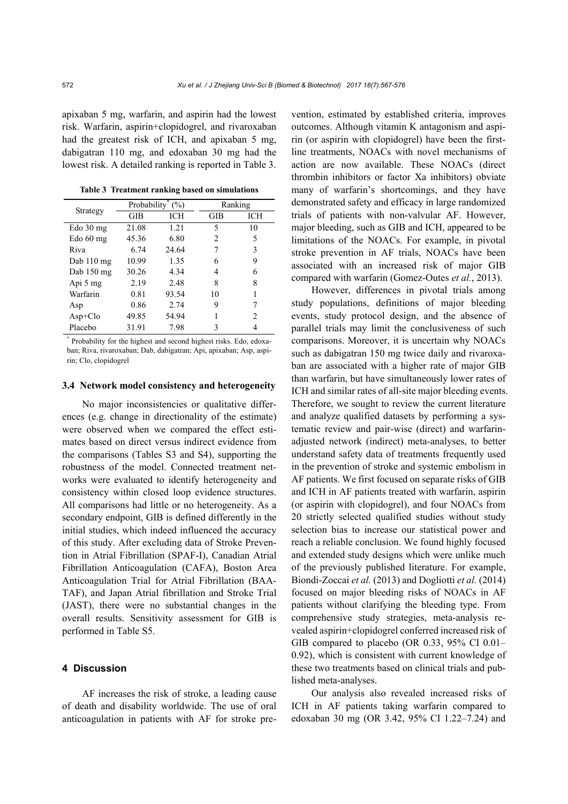apixaban 5 mg, warfarin, and aspirin had the lowest risk. Warfarin, aspirin+clopidogrel, and rivaroxaban had the greatest risk of ICH, and apixaban 5 mg, dabigatran 110 mg, and edoxaban 30 mg had the lowest risk. A detailed ranking is reported in Table 3.

| Strategy    | Probability <sup>®</sup> | (%)   | Ranking |     |  |
|-------------|--------------------------|-------|---------|-----|--|
|             | GIB                      | ICH   | GIB     | ICH |  |
| $Edo$ 30 mg | 21.08                    | 1.21  | 5       | 10  |  |
| Edo $60$ mg | 45.36                    | 6.80  | 2       | 5   |  |
| Riva        | 6.74                     | 24.64 | 7       | 3   |  |
| Dab 110 mg  | 10.99                    | 1.35  | 6       | 9   |  |
| Dab 150 mg  | 30.26                    | 4.34  | 4       | 6   |  |
| Api 5 mg    | 2.19                     | 2.48  | 8       | 8   |  |
| Warfarin    | 0.81                     | 93.54 | 10      |     |  |
| Asp         | 0.86                     | 2.74  | 9       | 7   |  |
| $Asp+Clo$   | 49.85                    | 54.94 | 1       | 2   |  |
| Placebo     | 31.91                    | 7.98  | 3       | 4   |  |

**Table 3 Treatment ranking based on simulations**

\* Probability for the highest and second highest risks. Edo, edoxaban; Riva, rivaroxaban; Dab, dabigatran; Api, apixaban; Asp, aspirin; Clo, clopidogrel

#### **3.4 Network model consistency and heterogeneity**

No major inconsistencies or qualitative differences (e.g. change in directionality of the estimate) were observed when we compared the effect estimates based on direct versus indirect evidence from the comparisons (Tables S3 and S4), supporting the robustness of the model. Connected treatment networks were evaluated to identify heterogeneity and consistency within closed loop evidence structures. All comparisons had little or no heterogeneity. As a secondary endpoint, GIB is defined differently in the initial studies, which indeed influenced the accuracy of this study. After excluding data of Stroke Prevention in Atrial Fibrillation (SPAF-I), Canadian Atrial Fibrillation Anticoagulation (CAFA), Boston Area Anticoagulation Trial for Atrial Fibrillation (BAA-TAF), and Japan Atrial fibrillation and Stroke Trial (JAST), there were no substantial changes in the overall results. Sensitivity assessment for GIB is performed in Table S5.

# **4 Discussion**

AF increases the risk of stroke, a leading cause of death and disability worldwide. The use of oral anticoagulation in patients with AF for stroke prevention, estimated by established criteria, improves outcomes. Although vitamin K antagonism and aspirin (or aspirin with clopidogrel) have been the firstline treatments, NOACs with novel mechanisms of action are now available. These NOACs (direct thrombin inhibitors or factor Xa inhibitors) obviate many of warfarin's shortcomings, and they have demonstrated safety and efficacy in large randomized trials of patients with non-valvular AF. However, major bleeding, such as GIB and ICH, appeared to be limitations of the NOACs. For example, in pivotal stroke prevention in AF trials, NOACs have been associated with an increased risk of major GIB compared with warfarin (Gomez-Outes *et al.*, 2013).

However, differences in pivotal trials among study populations, definitions of major bleeding events, study protocol design, and the absence of parallel trials may limit the conclusiveness of such comparisons. Moreover, it is uncertain why NOACs such as dabigatran 150 mg twice daily and rivaroxaban are associated with a higher rate of major GIB than warfarin, but have simultaneously lower rates of ICH and similar rates of all-site major bleeding events. Therefore, we sought to review the current literature and analyze qualified datasets by performing a systematic review and pair-wise (direct) and warfarinadjusted network (indirect) meta-analyses, to better understand safety data of treatments frequently used in the prevention of stroke and systemic embolism in AF patients. We first focused on separate risks of GIB and ICH in AF patients treated with warfarin, aspirin (or aspirin with clopidogrel), and four NOACs from 20 strictly selected qualified studies without study selection bias to increase our statistical power and reach a reliable conclusion. We found highly focused and extended study designs which were unlike much of the previously published literature. For example, Biondi-Zoccai *et al.* (2013) and Dogliotti *et al.* (2014) focused on major bleeding risks of NOACs in AF patients without clarifying the bleeding type. From comprehensive study strategies, meta-analysis revealed aspirin+clopidogrel conferred increased risk of GIB compared to placebo (OR 0.33, 95% CI 0.01– 0.92), which is consistent with current knowledge of these two treatments based on clinical trials and published meta-analyses.

Our analysis also revealed increased risks of ICH in AF patients taking warfarin compared to edoxaban 30 mg (OR 3.42, 95% CI 1.22–7.24) and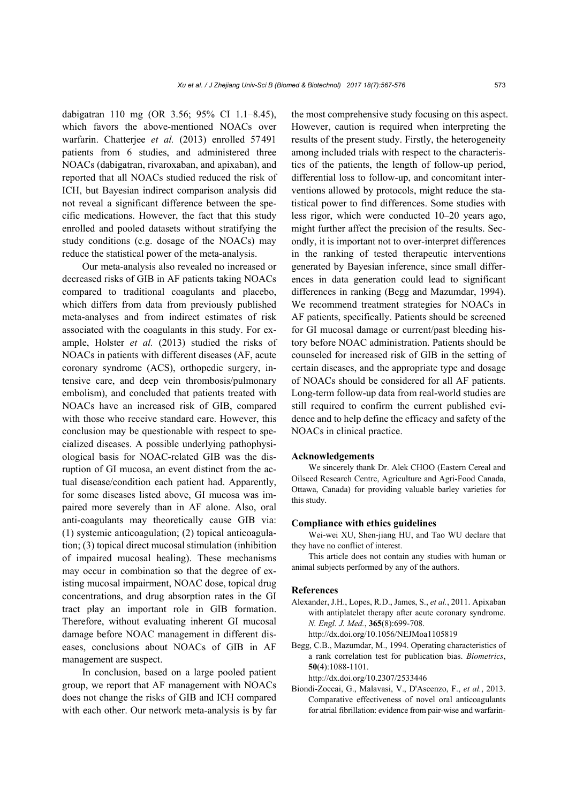dabigatran 110 mg (OR 3.56; 95% CI 1.1–8.45), which favors the above-mentioned NOACs over warfarin. Chatterjee *et al.* (2013) enrolled 57491 patients from 6 studies, and administered three NOACs (dabigatran, rivaroxaban, and apixaban), and reported that all NOACs studied reduced the risk of ICH, but Bayesian indirect comparison analysis did not reveal a significant difference between the specific medications. However, the fact that this study enrolled and pooled datasets without stratifying the study conditions (e.g. dosage of the NOACs) may reduce the statistical power of the meta-analysis.

Our meta-analysis also revealed no increased or decreased risks of GIB in AF patients taking NOACs compared to traditional coagulants and placebo, which differs from data from previously published meta-analyses and from indirect estimates of risk associated with the coagulants in this study. For example, Holster *et al.* (2013) studied the risks of NOACs in patients with different diseases (AF, acute coronary syndrome (ACS), orthopedic surgery, intensive care, and deep vein thrombosis/pulmonary embolism), and concluded that patients treated with NOACs have an increased risk of GIB, compared with those who receive standard care. However, this conclusion may be questionable with respect to specialized diseases. A possible underlying pathophysiological basis for NOAC-related GIB was the disruption of GI mucosa, an event distinct from the actual disease/condition each patient had. Apparently, for some diseases listed above, GI mucosa was impaired more severely than in AF alone. Also, oral anti-coagulants may theoretically cause GIB via: (1) systemic anticoagulation; (2) topical anticoagulation; (3) topical direct mucosal stimulation (inhibition of impaired mucosal healing). These mechanisms may occur in combination so that the degree of existing mucosal impairment, NOAC dose, topical drug concentrations, and drug absorption rates in the GI tract play an important role in GIB formation. Therefore, without evaluating inherent GI mucosal damage before NOAC management in different diseases, conclusions about NOACs of GIB in AF management are suspect.

In conclusion, based on a large pooled patient group, we report that AF management with NOACs does not change the risks of GIB and ICH compared with each other. Our network meta-analysis is by far the most comprehensive study focusing on this aspect. However, caution is required when interpreting the results of the present study. Firstly, the heterogeneity among included trials with respect to the characteristics of the patients, the length of follow-up period, differential loss to follow-up, and concomitant interventions allowed by protocols, might reduce the statistical power to find differences. Some studies with less rigor, which were conducted 10–20 years ago, might further affect the precision of the results. Secondly, it is important not to over-interpret differences in the ranking of tested therapeutic interventions generated by Bayesian inference, since small differences in data generation could lead to significant differences in ranking (Begg and Mazumdar, 1994). We recommend treatment strategies for NOACs in AF patients, specifically. Patients should be screened for GI mucosal damage or current/past bleeding history before NOAC administration. Patients should be counseled for increased risk of GIB in the setting of certain diseases, and the appropriate type and dosage of NOACs should be considered for all AF patients. Long-term follow-up data from real-world studies are still required to confirm the current published evidence and to help define the efficacy and safety of the NOACs in clinical practice.

#### **Acknowledgements**

We sincerely thank Dr. Alek CHOO (Eastern Cereal and Oilseed Research Centre, Agriculture and Agri-Food Canada, Ottawa, Canada) for providing valuable barley varieties for this study.

#### **Compliance with ethics guidelines**

Wei-wei XU, Shen-jiang HU, and Tao WU declare that they have no conflict of interest.

This article does not contain any studies with human or animal subjects performed by any of the authors.

#### **References**

Alexander, J.H., Lopes, R.D., James, S., *et al.*, 2011. Apixaban with antiplatelet therapy after acute coronary syndrome. *N. Engl. J. Med.*, **365**(8):699-708.

http://dx.doi.org/10.1056/NEJMoa1105819

Begg, C.B., Mazumdar, M., 1994. Operating characteristics of a rank correlation test for publication bias. *Biometrics*, **50**(4):1088-1101.

http://dx.doi.org/10.2307/2533446

Biondi-Zoccai, G., Malavasi, V., D'Ascenzo, F., *et al.*, 2013. Comparative effectiveness of novel oral anticoagulants for atrial fibrillation: evidence from pair-wise and warfarin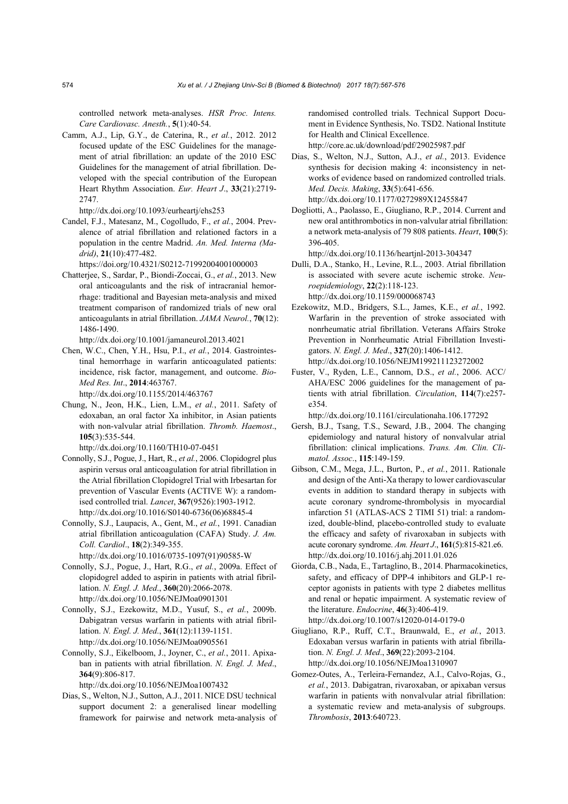controlled network meta-analyses. *HSR Proc. Intens. Care Cardiovasc. Anesth.*, **5**(1):40-54.

Camm, A.J., Lip, G.Y., de Caterina, R., *et al.*, 2012. 2012 focused update of the ESC Guidelines for the management of atrial fibrillation: an update of the 2010 ESC Guidelines for the management of atrial fibrillation. Developed with the special contribution of the European Heart Rhythm Association. *Eur. Heart J*., **33**(21):2719- 2747.

http://dx.doi.org/10.1093/eurheartj/ehs253

Candel, F.J., Matesanz, M., Cogolludo, F., *et al.*, 2004. Prevalence of atrial fibrillation and relationed factors in a population in the centre Madrid. *An. Med. Interna (Madrid)*, **21**(10):477-482.

https://doi.org/10.4321/S0212-71992004001000003

Chatterjee, S., Sardar, P., Biondi-Zoccai, G., *et al.*, 2013. New oral anticoagulants and the risk of intracranial hemorrhage: traditional and Bayesian meta-analysis and mixed treatment comparison of randomized trials of new oral anticoagulants in atrial fibrillation. *JAMA Neurol.*, **70**(12): 1486-1490.

http://dx.doi.org/10.1001/jamaneurol.2013.4021

Chen, W.C., Chen, Y.H., Hsu, P.I., *et al.*, 2014. Gastrointestinal hemorrhage in warfarin anticoagulated patients: incidence, risk factor, management, and outcome. *Bio-Med Res. Int*., **2014**:463767.

http://dx.doi.org/10.1155/2014/463767

Chung, N., Jeon, H.K., Lien, L.M., *et al.*, 2011. Safety of edoxaban, an oral factor Xa inhibitor, in Asian patients with non-valvular atrial fibrillation. *Thromb. Haemost*., **105**(3):535-544.

http://dx.doi.org/10.1160/TH10-07-0451

- Connolly, S.J., Pogue, J., Hart, R., *et al.*, 2006. Clopidogrel plus aspirin versus oral anticoagulation for atrial fibrillation in the Atrial fibrillation Clopidogrel Trial with Irbesartan for prevention of Vascular Events (ACTIVE W): a randomised controlled trial. *Lancet*, **367**(9526):1903-1912. http://dx.doi.org/10.1016/S0140-6736(06)68845-4
- Connolly, S.J., Laupacis, A., Gent, M., *et al.*, 1991. Canadian atrial fibrillation anticoagulation (CAFA) Study. *J. Am. Coll. Cardiol*., **18**(2):349-355.

http://dx.doi.org/10.1016/0735-1097(91)90585-W

- Connolly, S.J., Pogue, J., Hart, R.G., *et al.*, 2009a. Effect of clopidogrel added to aspirin in patients with atrial fibrillation. *N. Engl. J. Med*., **360**(20):2066-2078. http://dx.doi.org/10.1056/NEJMoa0901301
- Connolly, S.J., Ezekowitz, M.D., Yusuf, S., *et al.*, 2009b. Dabigatran versus warfarin in patients with atrial fibrillation. *N. Engl. J. Med*., **361**(12):1139-1151. http://dx.doi.org/10.1056/NEJMoa0905561
- Connolly, S.J., Eikelboom, J., Joyner, C., *et al.*, 2011. Apixaban in patients with atrial fibrillation. *N. Engl. J. Med*., **364**(9):806-817.

http://dx.doi.org/10.1056/NEJMoa1007432

Dias, S., Welton, N.J., Sutton, A.J., 2011. NICE DSU technical support document 2: a generalised linear modelling framework for pairwise and network meta-analysis of randomised controlled trials. Technical Support Document in Evidence Synthesis, No. TSD2. National Institute for Health and Clinical Excellence. http://core.ac.uk/download/pdf/29025987.pdf

Dias, S., Welton, N.J., Sutton, A.J., *et al.*, 2013. Evidence synthesis for decision making 4: inconsistency in networks of evidence based on randomized controlled trials. *Med. Decis. Making*, **33**(5):641-656. http://dx.doi.org/10.1177/0272989X12455847

Dogliotti, A., Paolasso, E., Giugliano, R.P., 2014. Current and new oral antithrombotics in non-valvular atrial fibrillation: a network meta-analysis of 79 808 patients. *Heart*, **100**(5): 396-405.

http://dx.doi.org/10.1136/heartjnl-2013-304347

- Dulli, D.A., Stanko, H., Levine, R.L., 2003. Atrial fibrillation is associated with severe acute ischemic stroke. *Neuroepidemiology*, **22**(2):118-123. http://dx.doi.org/10.1159/000068743
- Ezekowitz, M.D., Bridgers, S.L., James, K.E., *et al.*, 1992. Warfarin in the prevention of stroke associated with nonrheumatic atrial fibrillation. Veterans Affairs Stroke Prevention in Nonrheumatic Atrial Fibrillation Investigators. *N. Engl. J. Med*., **327**(20):1406-1412. http://dx.doi.org/10.1056/NEJM199211123272002
- Fuster, V., Ryden, L.E., Cannom, D.S., *et al.*, 2006. ACC/ AHA/ESC 2006 guidelines for the management of patients with atrial fibrillation. *Circulation*, **114**(7):e257 e354.

http://dx.doi.org/10.1161/circulationaha.106.177292

- Gersh, B.J., Tsang, T.S., Seward, J.B., 2004. The changing epidemiology and natural history of nonvalvular atrial fibrillation: clinical implications. *Trans. Am. Clin. Climatol. Assoc*., **115**:149-159.
- Gibson, C.M., Mega, J.L., Burton, P., *et al.*, 2011. Rationale and design of the Anti-Xa therapy to lower cardiovascular events in addition to standard therapy in subjects with acute coronary syndrome-thrombolysis in myocardial infarction 51 (ATLAS-ACS 2 TIMI 51) trial: a randomized, double-blind, placebo-controlled study to evaluate the efficacy and safety of rivaroxaban in subjects with acute coronary syndrome. *Am. Heart J*., **161**(5):815-821.e6. http://dx.doi.org/10.1016/j.ahj.2011.01.026
- Giorda, C.B., Nada, E., Tartaglino, B., 2014. Pharmacokinetics, safety, and efficacy of DPP-4 inhibitors and GLP-1 receptor agonists in patients with type 2 diabetes mellitus and renal or hepatic impairment. A systematic review of the literature. *Endocrine*, **46**(3):406-419. http://dx.doi.org/10.1007/s12020-014-0179-0
- Giugliano, R.P., Ruff, C.T., Braunwald, E., *et al.*, 2013. Edoxaban versus warfarin in patients with atrial fibrillation. *N. Engl. J. Med*., **369**(22):2093-2104. http://dx.doi.org/10.1056/NEJMoa1310907
- Gomez-Outes, A., Terleira-Fernandez, A.I., Calvo-Rojas, G., *et al.*, 2013. Dabigatran, rivaroxaban, or apixaban versus warfarin in patients with nonvalvular atrial fibrillation: a systematic review and meta-analysis of subgroups. *Thrombosis*, **2013**:640723.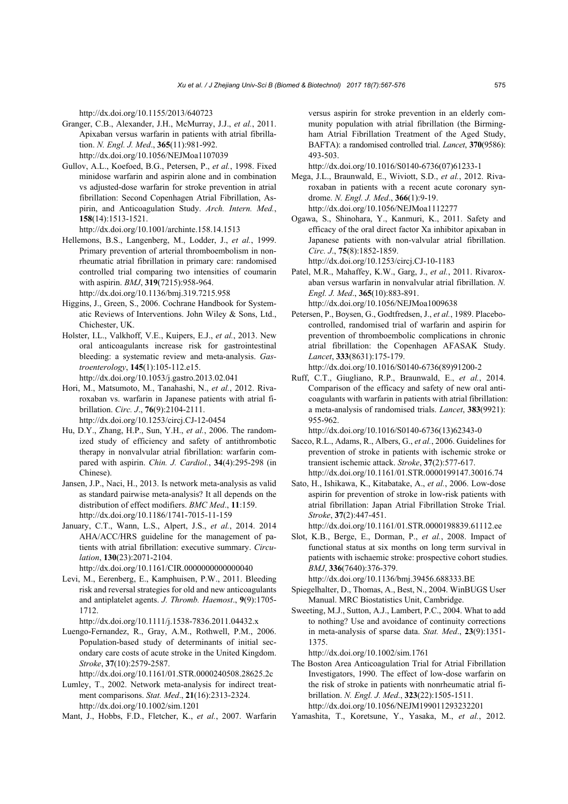http://dx.doi.org/10.1155/2013/640723

- Granger, C.B., Alexander, J.H., McMurray, J.J., *et al.*, 2011. Apixaban versus warfarin in patients with atrial fibrillation. *N. Engl. J. Med*., **365**(11):981-992. http://dx.doi.org/10.1056/NEJMoa1107039
- Gullov, A.L., Koefoed, B.G., Petersen, P., *et al.*, 1998. Fixed minidose warfarin and aspirin alone and in combination vs adjusted-dose warfarin for stroke prevention in atrial fibrillation: Second Copenhagen Atrial Fibrillation, Aspirin, and Anticoagulation Study. *Arch. Intern. Med.*, **158**(14):1513-1521.
- http://dx.doi.org/10.1001/archinte.158.14.1513 Hellemons, B.S., Langenberg, M., Lodder, J., *et al.*, 1999. Primary prevention of arterial thromboembolism in nonrheumatic atrial fibrillation in primary care: randomised controlled trial comparing two intensities of coumarin with aspirin. *BMJ*, **319**(7215):958-964. http://dx.doi.org/10.1136/bmj.319.7215.958
- Higgins, J., Green, S., 2006. Cochrane Handbook for Systematic Reviews of Interventions. John Wiley & Sons, Ltd., Chichester, UK.
- Holster, I.L., Valkhoff, V.E., Kuipers, E.J., *et al.*, 2013. New oral anticoagulants increase risk for gastrointestinal bleeding: a systematic review and meta-analysis. *Gastroenterology*, **145**(1):105-112.e15. http://dx.doi.org/10.1053/j.gastro.2013.02.041
- Hori, M., Matsumoto, M., Tanahashi, N., *et al.*, 2012. Rivaroxaban vs. warfarin in Japanese patients with atrial fibrillation. *Circ. J*., **76**(9):2104-2111.
	- http://dx.doi.org/10.1253/circj.CJ-12-0454
- Hu, D.Y., Zhang, H.P., Sun, Y.H., *et al.*, 2006. The randomized study of efficiency and safety of antithrombotic therapy in nonvalvular atrial fibrillation: warfarin compared with aspirin. *Chin. J. Cardiol.*, **34**(4):295-298 (in Chinese).
- Jansen, J.P., Naci, H., 2013. Is network meta-analysis as valid as standard pairwise meta-analysis? It all depends on the distribution of effect modifiers. *BMC Med*., **11**:159. http://dx.doi.org/10.1186/1741-7015-11-159
- January, C.T., Wann, L.S., Alpert, J.S., *et al.*, 2014. 2014 AHA/ACC/HRS guideline for the management of patients with atrial fibrillation: executive summary. *Circulation*, **130**(23):2071-2104.
- http://dx.doi.org/10.1161/CIR.0000000000000040
- Levi, M., Eerenberg, E., Kamphuisen, P.W., 2011. Bleeding risk and reversal strategies for old and new anticoagulants and antiplatelet agents. *J. Thromb. Haemost*., **9**(9):1705- 1712.
- http://dx.doi.org/10.1111/j.1538-7836.2011.04432.x
- Luengo-Fernandez, R., Gray, A.M., Rothwell, P.M., 2006. Population-based study of determinants of initial secondary care costs of acute stroke in the United Kingdom. *Stroke*, **37**(10):2579-2587.
	- http://dx.doi.org/10.1161/01.STR.0000240508.28625.2c
- Lumley, T., 2002. Network meta-analysis for indirect treatment comparisons. *Stat. Med*., **21**(16):2313-2324. http://dx.doi.org/10.1002/sim.1201
- Mant, J., Hobbs, F.D., Fletcher, K., *et al.*, 2007. Warfarin

versus aspirin for stroke prevention in an elderly community population with atrial fibrillation (the Birmingham Atrial Fibrillation Treatment of the Aged Study, BAFTA): a randomised controlled trial. *Lancet*, **370**(9586): 493-503.

http://dx.doi.org/10.1016/S0140-6736(07)61233-1

- Mega, J.L., Braunwald, E., Wiviott, S.D., *et al.*, 2012. Rivaroxaban in patients with a recent acute coronary syndrome. *N. Engl. J. Med*., **366**(1):9-19. http://dx.doi.org/10.1056/NEJMoa1112277
- Ogawa, S., Shinohara, Y., Kanmuri, K., 2011. Safety and efficacy of the oral direct factor Xa inhibitor apixaban in Japanese patients with non-valvular atrial fibrillation. *Circ. J*., **75**(8):1852-1859.
	- http://dx.doi.org/10.1253/circj.CJ-10-1183
- Patel, M.R., Mahaffey, K.W., Garg, J., *et al.*, 2011. Rivaroxaban versus warfarin in nonvalvular atrial fibrillation. *N. Engl. J. Med*., **365**(10):883-891. http://dx.doi.org/10.1056/NEJMoa1009638
- Petersen, P., Boysen, G., Godtfredsen, J., *et al.*, 1989. Placebocontrolled, randomised trial of warfarin and aspirin for prevention of thromboembolic complications in chronic atrial fibrillation: the Copenhagen AFASAK Study. *Lancet*, **333**(8631):175-179.
	- http://dx.doi.org/10.1016/S0140-6736(89)91200-2
- Ruff, C.T., Giugliano, R.P., Braunwald, E., *et al.*, 2014. Comparison of the efficacy and safety of new oral anticoagulants with warfarin in patients with atrial fibrillation: a meta-analysis of randomised trials. *Lancet*, **383**(9921): 955-962.

http://dx.doi.org/10.1016/S0140-6736(13)62343-0

- Sacco, R.L., Adams, R., Albers, G., *et al.*, 2006. Guidelines for prevention of stroke in patients with ischemic stroke or transient ischemic attack. *Stroke*, **37**(2):577-617. http://dx.doi.org/10.1161/01.STR.0000199147.30016.74
- Sato, H., Ishikawa, K., Kitabatake, A., *et al.*, 2006. Low-dose aspirin for prevention of stroke in low-risk patients with atrial fibrillation: Japan Atrial Fibrillation Stroke Trial. *Stroke*, **37**(2):447-451.

http://dx.doi.org/10.1161/01.STR.0000198839.61112.ee

Slot, K.B., Berge, E., Dorman, P., *et al.*, 2008. Impact of functional status at six months on long term survival in patients with ischaemic stroke: prospective cohort studies. *BMJ*, **336**(7640):376-379.

http://dx.doi.org/10.1136/bmj.39456.688333.BE

- Spiegelhalter, D., Thomas, A., Best, N., 2004. WinBUGS User Manual. MRC Biostatistics Unit, Cambridge.
- Sweeting, M.J., Sutton, A.J., Lambert, P.C., 2004. What to add to nothing? Use and avoidance of continuity corrections in meta-analysis of sparse data. *Stat. Med*., **23**(9):1351- 1375.

http://dx.doi.org/10.1002/sim.1761

The Boston Area Anticoagulation Trial for Atrial Fibrillation Investigators, 1990. The effect of low-dose warfarin on the risk of stroke in patients with nonrheumatic atrial fibrillation. *N. Engl. J. Med*., **323**(22):1505-1511. http://dx.doi.org/10.1056/NEJM199011293232201

Yamashita, T., Koretsune, Y., Yasaka, M., *et al.*, 2012.